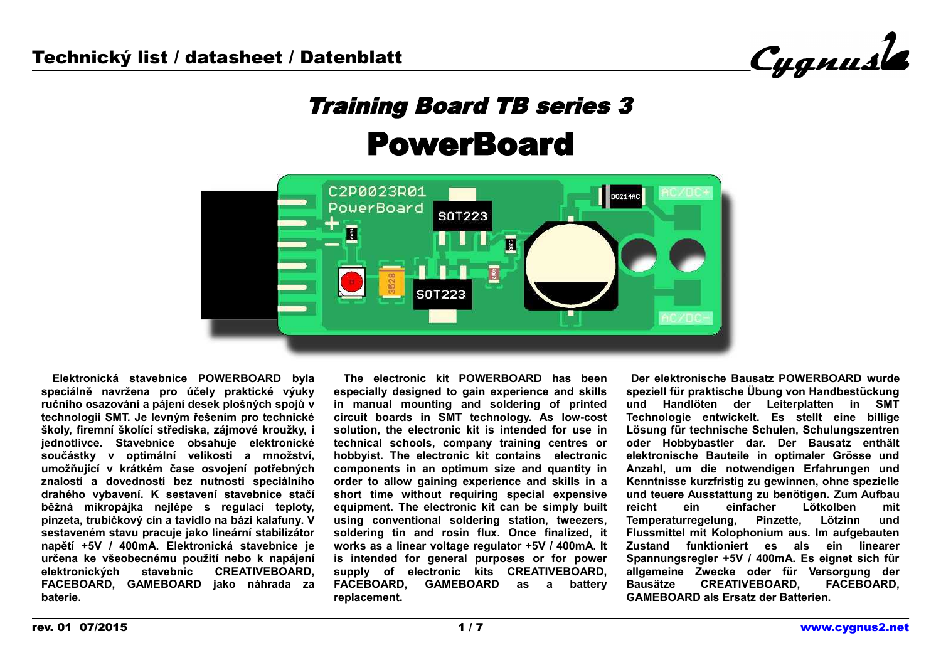Cygnusle

# Training Board TB series 3 PowerBoard



 **Elektronická stavebnice POWERBOARD byla speciálně navržena pro účely praktické výuky ručního osazování a pájení desek plošných spojů v technologii SMT. Je levným řešením pro technické školy, firemní školící střediska, zájmové kroužky, i jednotlivce. Stavebnice obsahuje elektronické součástky v optimální velikosti a množství, umožňující v krátkém čase osvojení potřebných znalostí a dovedností bez nutnosti speciálního drahého vybavení. K sestavení stavebnice stačí běžná mikropájka nejlépe s regulací teploty, pinzeta, trubičkový cín a tavidlo na bázi kalafuny. V sestaveném stavu pracuje jako lineární stabilizátor napětí +5V / 400mA. Elektronická stavebnice je určena ke všeobecnému použití nebo k napájení elektronických stavebnic CREATIVEBOARD, FACEBOARD, GAMEBOARD jako náhrada za baterie.**

 **The electronic kit POWERBOARD has been especially designed to gain experience and skills in manual mounting and soldering of printed circuit boards in SMT technology. As low-cost solution, the electronic kit is intended for use in technical schools, company training centres or hobbyist. The electronic kit contains electronic components in an optimum size and quantity in order to allow gaining experience and skills in a short time without requiring special expensive equipment. The electronic kit can be simply built using conventional soldering station, tweezers, soldering tin and rosin flux. Once finalized, it works as a linear voltage regulator +5V / 400mA. It is intended for general purposes or for power supply of electronic kits CREATIVEBOARD, FACEBOARD, GAMEBOARD as a battery replacement.**

 **Der elektronische Bausatz POWERBOARD wurde speziell für praktische Übung von Handbestückung und Handlöten der Leiterplatten in SMT Technologie entwickelt. Es stellt eine billige Lösung für technische Schulen, Schulungszentren oder Hobbybastler dar. Der Bausatz enthält elektronische Bauteile in optimaler Grösse und Anzahl, um die notwendigen Erfahrungen und Kenntnisse kurzfristig zu gewinnen, ohne spezielle und teuere Ausstattung zu benötigen. Zum Aufbau reicht ein einfacher Lötkolben mit Temperaturregelung, Pinzette, Lötzinn und Flussmittel mit Kolophonium aus. Im aufgebauten Zustand funktioniert es als ein linearer Spannungsregler +5V / 400mA. Es eignet sich für allgemeine Zwecke oder für Versorgung der Bausätze CREATIVEBOARD, FACEBOARD, GAMEBOARD als Ersatz der Batterien.**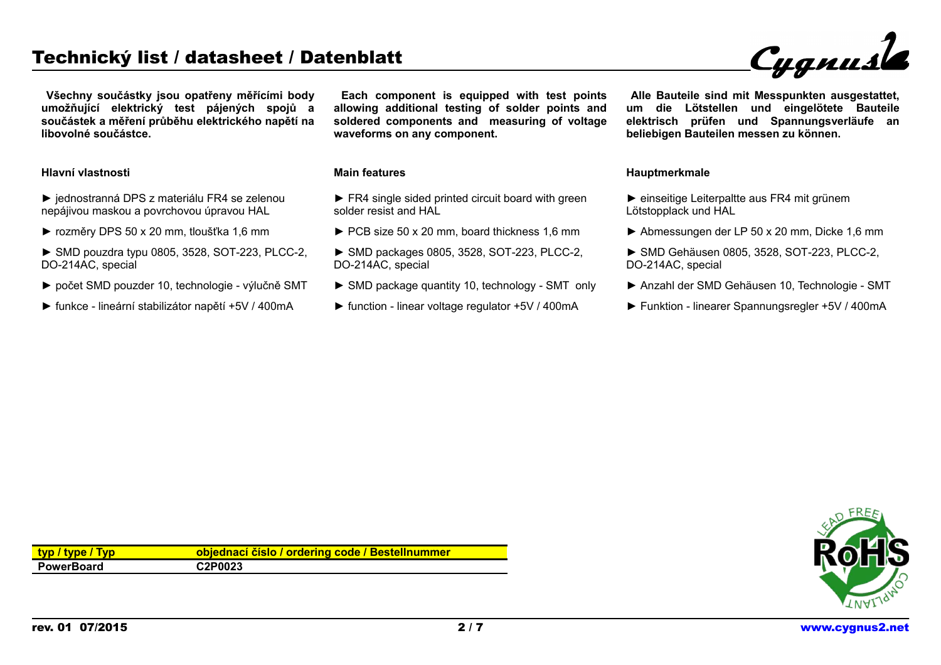## Technický list / datasheet / Datenblatt

Cygnusla

 **Všechny součástky jsou opatřeny měřícími body umožňující elektrický test pájených spojů a součástek a měření průběhu elektrického napětí na libovolné součástce.**

#### **Hlavní vlastnosti**

- ► jednostranná DPS z materiálu FR4 se zelenou nepájivou maskou a povrchovou úpravou HAL
- ► rozměry DPS 50 x 20 mm, tloušťka 1,6 mm
- ► SMD pouzdra typu 0805, 3528, SOT-223, PLCC-2, DO-214AC, special
- ► počet SMD pouzder 10, technologie výlučně SMT
- ► funkce lineární stabilizátor napětí +5V / 400mA

 **Each component is equipped with test points allowing additional testing of solder points and soldered components and measuring of voltage waveforms on any component.**

#### **Main features**

- ► FR4 single sided printed circuit board with green solder resist and HAL
- ► PCB size 50 x 20 mm, board thickness 1,6 mm
- ► SMD packages 0805, 3528, SOT-223, PLCC-2, DO-214AC, special
- ► SMD package quantity 10, technology SMT only
- ► function linear voltage regulator +5V / 400mA

 **Alle Bauteile sind mit Messpunkten ausgestattet, um die Lötstellen und eingelötete Bauteile elektrisch prüfen und Spannungsverläufe an beliebigen Bauteilen messen zu können.**

#### **Hauptmerkmale**

- ► einseitige Leiterpaltte aus FR4 mit grünem Lötstopplack und HAL
- ► Abmessungen der LP 50 x 20 mm, Dicke 1,6 mm
- ► SMD Gehäusen 0805, 3528, SOT-223, PLCC-2, DO-214AC, special
- ► Anzahl der SMD Gehäusen 10, Technologie SMT
- ► Funktion linearer Spannungsregler +5V / 400mA

| typ / type / Typ  | objednací číslo / ordering code / Bestellnummer |
|-------------------|-------------------------------------------------|
| <b>PowerBoard</b> | C2P0023                                         |

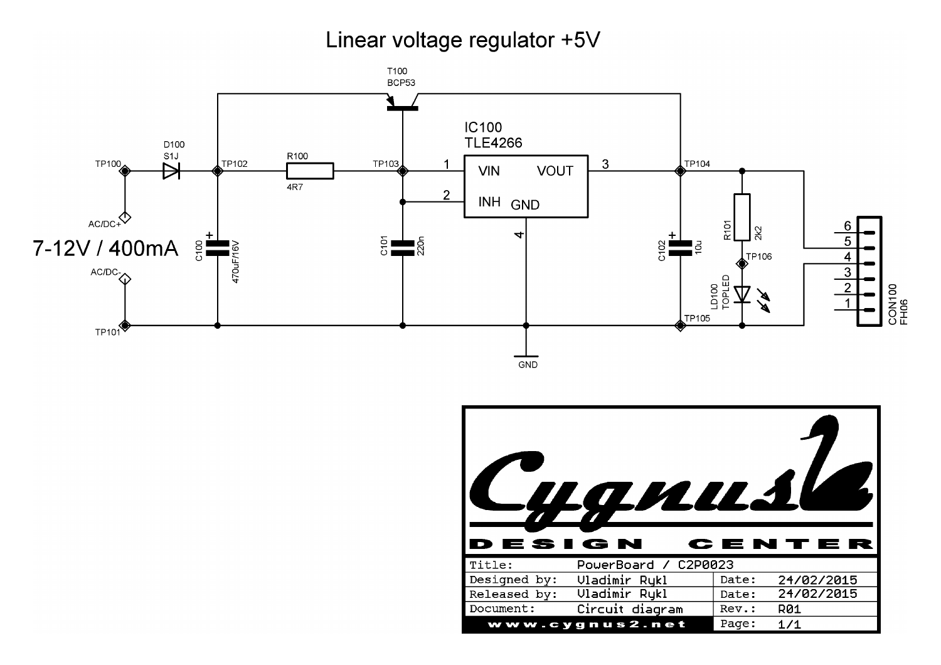# Linear voltage regulator +5V



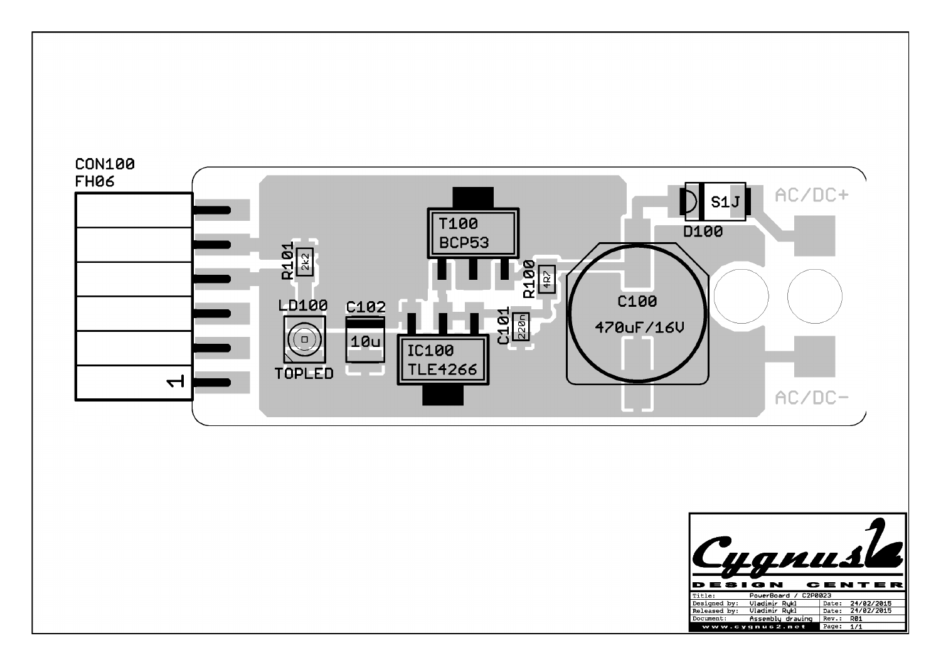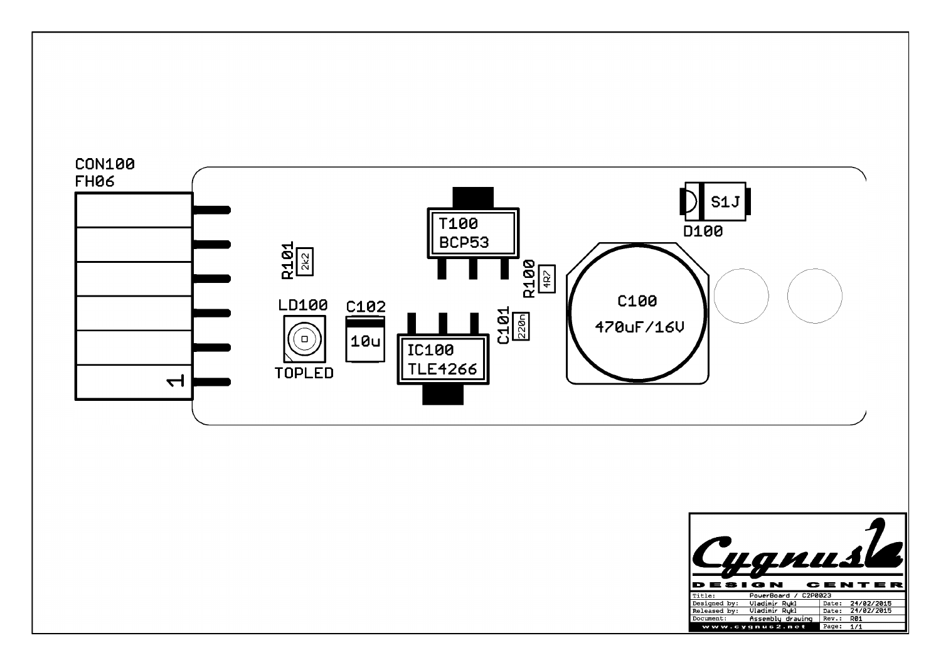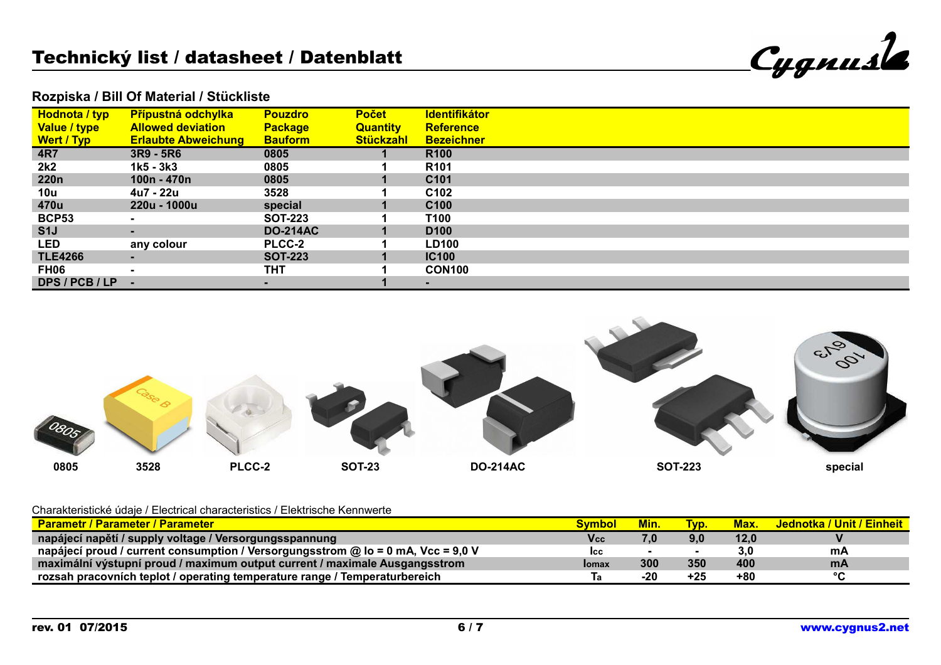| Cygnusk |
|---------|
|         |

### **Rozpiska / Bill Of Material / Stückliste**

| <b>Hodnota / typ</b> | <b>Přípustná odchylka</b>  | <b>Pouzdro</b>  | <b>Počet</b>     | <b>Identifikátor</b> |
|----------------------|----------------------------|-----------------|------------------|----------------------|
| Value / type         | <b>Allowed deviation</b>   | <b>Package</b>  | <b>Quantity</b>  | <b>Reference</b>     |
| <b>Wert / Typ</b>    | <b>Erlaubte Abweichung</b> | <b>Bauform</b>  | <b>Stückzahl</b> | <b>Bezeichner</b>    |
| <b>4R7</b>           | $3R9 - 5R6$                | 0805            |                  | <b>R100</b>          |
| 2k2                  | 1k5 - 3k3                  | 0805            |                  | R <sub>101</sub>     |
| <b>220n</b>          | 100n - 470n                | 0805            |                  | C <sub>101</sub>     |
| 10u                  | 4u7 - 22u                  | 3528            |                  | C <sub>102</sub>     |
| 470u                 | 220u - 1000u               | special         |                  | C <sub>100</sub>     |
| <b>BCP53</b>         |                            | <b>SOT-223</b>  |                  | T100                 |
| S1J                  | $\blacksquare$             | <b>DO-214AC</b> |                  | D <sub>100</sub>     |
| LED                  | any colour                 | <b>PLCC-2</b>   |                  | <b>LD100</b>         |
| <b>TLE4266</b>       | $\sim$                     | <b>SOT-223</b>  |                  | <b>IC100</b>         |
| FH06                 | $\overline{\phantom{a}}$   | THT             |                  | <b>CON100</b>        |
| DPS / PCB / LP       |                            |                 |                  |                      |



#### Charakteristické údaje / Electrical characteristics / Elektrische Kennwerte

| <b>Parametr / Parameter / Parameter</b>                                          |               | Min. | T <sub>VD</sub> . | Max. | <b>Jednotka / Unit / Einheit</b> |
|----------------------------------------------------------------------------------|---------------|------|-------------------|------|----------------------------------|
| napájecí napětí / supply voltage / Versorgungsspannung /                         | Vcc           | 7,0  | 9,0               | 12,0 |                                  |
| napájecí proud / current consumption / Versorgungsstrom @ lo = 0 mA, Vcc = 9,0 V | lcc           |      |                   | 3.0  | mA                               |
| maximální výstupní proud / maximum output current / maximale Ausgangsstrom       | <b>I</b> omax | 300  | 350               | 400  | <b>mA</b>                        |
| rozsah pracovních teplot / operating temperature range / Temperaturbereich       |               | -20  | $+25$             | +80  | $\sim$                           |